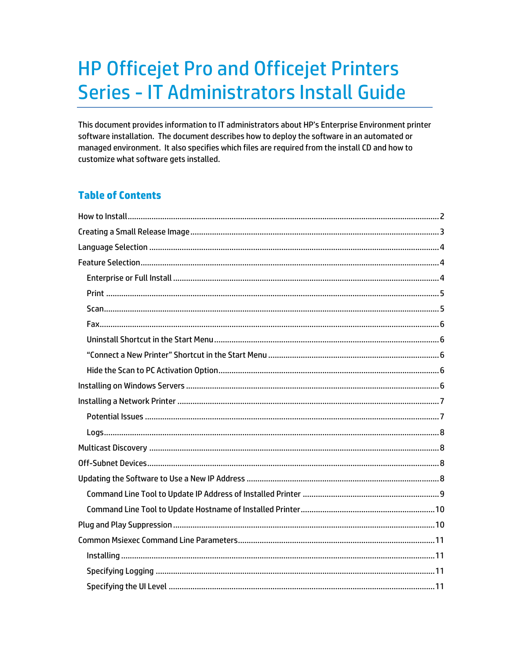# **HP Officejet Pro and Officejet Printers** Series - IT Administrators Install Guide

This document provides information to IT administrators about HP's Enterprise Environment printer software installation. The document describes how to deploy the software in an automated or managed environment. It also specifies which files are required from the install CD and how to customize what software gets installed.

# **Table of Contents**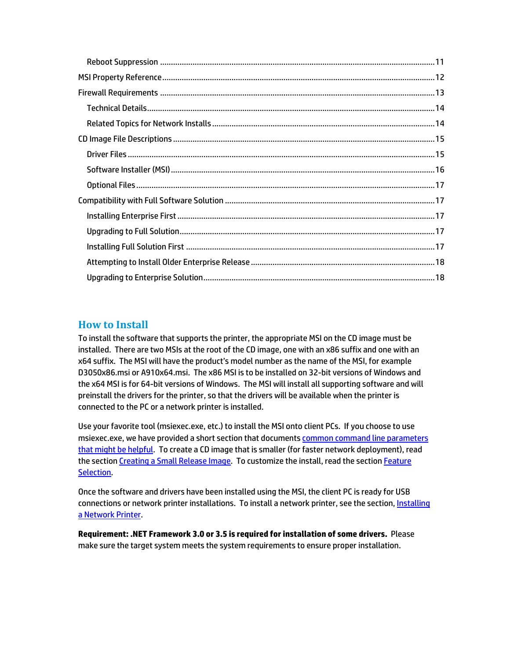# **How to Install**

To install the software that supports the printer, the appropriate MSI on the CD image must be installed. There are two MSIs at the root of the CD image, one with an x86 suffix and one with an x64 suffix. The MSI will have the product's model number as the name of the MSI, for example D3050x86.msi or A910x64.msi. The x86 MSI is to be installed on 32-bit versions of Windows and the x64 MSI is for 64-bit versions of Windows. The MSI will install all supporting software and will preinstall the drivers for the printer, so that the drivers will be available when the printer is connected to the PC or a network printer is installed.

Use your favorite tool (msiexec.exe, etc.) to install the MSI onto client PCs. If you choose to use msiexec.exe, we have provided a short section that documents common command line parameters that might be helpful</u>. To create a CD image that is smaller (for faster network deployment), read the section Creating a Small Release Image. To customize the install, read the section Feature Selection.

Once the software and drivers have been installed using the MSI, the client PC is ready for USB connections or network printer installations. To install a network printer, see the section, Installing a Network Printer.

**Requirement: .NET Framework 3.0 or 3.5 is required for installation of some drivers.** Please make sure the target system meets the system requirements to ensure proper installation.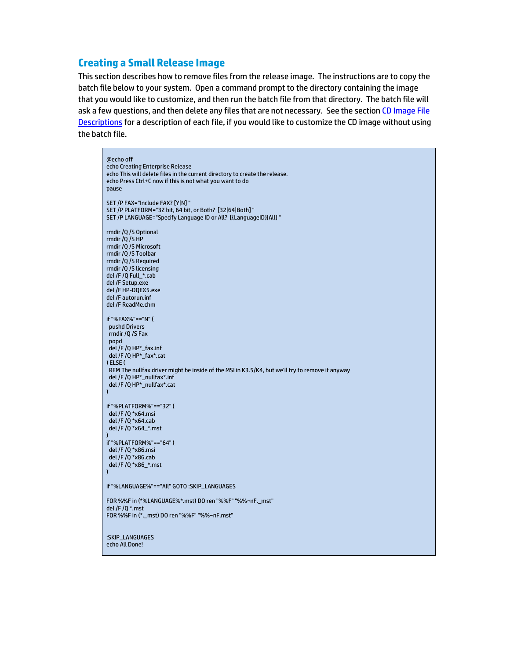# **Creating a Small Release Image**

This section describes how to remove files from the release image. The instructions are to copy the batch file below to your system. Open a command prompt to the directory containing the image that you would like to customize, and then run the batch file from that directory. The batch file will ask a few questions, and then delete any files that are not necessary. See the section CD Image File Descriptions for a description of each file, if you would like to customize the CD image without using the batch file.

@echo off echo Creating Enterprise Release echo This will delete files in the current directory to create the release. echo Press Ctrl+C now if this is not what you want to do pause SET /P FAX="Include FAX? [Y|N] " SET /P PLATFORM="32 bit, 64 bit, or Both? [32|64|Both] " SET /P LANGUAGE="Specify Language ID or All? [{LanguageID}|All] " rmdir /Q /S Optional rmdir /Q /S HP rmdir /Q /S Microsoft rmdir /Q /S Toolbar rmdir /Q /S Required rmdir /Q /S licensing del /F /Q Full\_\*.cab del /F Setup.exe del /F HP-DQEX5.exe del /F autorun.inf del /F ReadMe.chm if "%FAX%"=="N" ( pushd Drivers rmdir /Q /S Fax popd del /F /Q HP\*\_fax.inf del /F /Q HP\*\_fax\*.cat ) ELSE ( REM The nullfax driver might be inside of the MSI in K3.5/K4, but we'll try to remove it anyway del /F /Q HP\*\_nullfax\*.inf del /F /Q HP\*\_nullfax\*.cat ) if "%PLATFORM%"=="32" ( del /F /Q \*x64.msi del /F /Q \*x64.cab del /F /Q \*x64\_\*.mst ) if "%PLATFORM%"=="64" ( del /F /Q \*x86.msi del /F /Q \*x86.cab del /F /Q \*x86\_\*.mst ) if "%LANGUAGE%"=="All" GOTO :SKIP\_LANGUAGES FOR %%F in (\*%LANGUAGE%\*.mst) DO ren "%%F" "%%~nF.\_mst" del /F /Q \*.mst FOR %%F in (\*.\_mst) DO ren "%%F" "%%~nF.mst" :SKIP\_LANGUAGES echo All Done!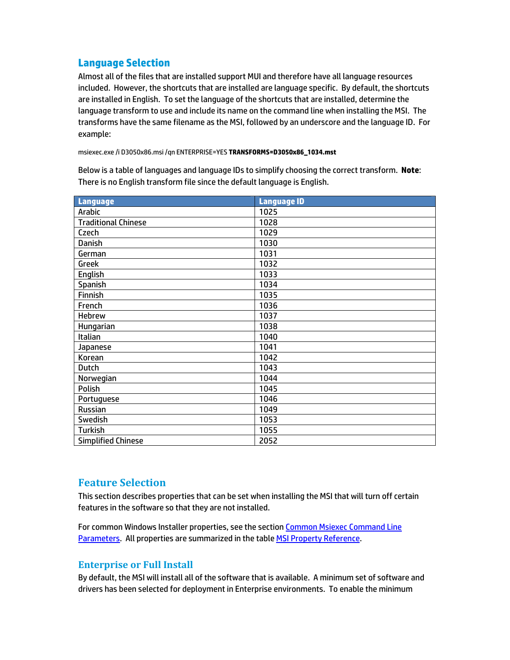# **Language Selection**

Almost all of the files that are installed support MUI and therefore have all language resources included. However, the shortcuts that are installed are language specific. By default, the shortcuts are installed in English. To set the language of the shortcuts that are installed, determine the language transform to use and include its name on the command line when installing the MSI. The transforms have the same filename as the MSI, followed by an underscore and the language ID. For example:

msiexec.exe /i D3050x86.msi /qn ENTERPRISE=YES **TRANSFORMS=D3050x86\_1034.mst**

Below is a table of languages and language IDs to simplify choosing the correct transform. **Note**: There is no English transform file since the default language is English.

| <b>Language</b>            | <b>Language ID</b> |
|----------------------------|--------------------|
| Arabic                     | 1025               |
| <b>Traditional Chinese</b> | 1028               |
| Czech                      | 1029               |
| Danish                     | 1030               |
| German                     | 1031               |
| Greek                      | 1032               |
| English                    | 1033               |
| Spanish                    | 1034               |
| Finnish                    | 1035               |
| French                     | 1036               |
| Hebrew                     | 1037               |
| Hungarian                  | 1038               |
| Italian                    | 1040               |
| Japanese                   | 1041               |
| Korean                     | 1042               |
| Dutch                      | 1043               |
| Norwegian                  | 1044               |
| Polish                     | 1045               |
| Portuguese                 | 1046               |
| Russian                    | 1049               |
| Swedish                    | 1053               |
| <b>Turkish</b>             | 1055               |
| <b>Simplified Chinese</b>  | 2052               |

# **Feature Selection**

This section describes properties that can be set when installing the MSI that will turn off certain features in the software so that they are not installed.

For common Windows Installer properties, see the section Common Msiexec Command Line Parameters. All properties are summarized in the table MSI Property Reference.

# **Enterprise or Full Install**

By default, the MSI will install all of the software that is available. A minimum set of software and drivers has been selected for deployment in Enterprise environments. To enable the minimum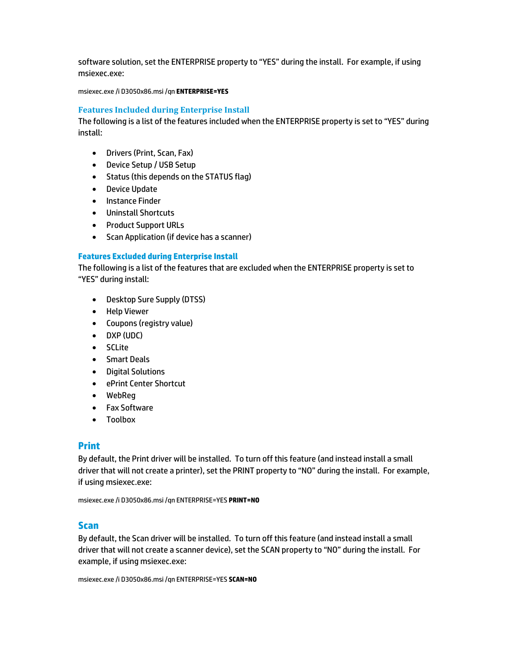software solution, set the ENTERPRISE property to "YES" during the install. For example, if using msiexec.exe:

msiexec.exe /i D3050x86.msi /qn **ENTERPRISE=YES**

#### **Features Included during Enterprise Install**

The following is a list of the features included when the ENTERPRISE property is set to "YES" during install:

- Drivers (Print, Scan, Fax)
- Device Setup / USB Setup
- Status (this depends on the STATUS flag)
- Device Update
- Instance Finder
- Uninstall Shortcuts
- Product Support URLs
- Scan Application (if device has a scanner)

#### **Features Excluded during Enterprise Install**

The following is a list of the features that are excluded when the ENTERPRISE property is set to "YES" during install:

- Desktop Sure Supply (DTSS)
- Help Viewer
- Coupons (registry value)
- DXP (UDC)
- SCLite
- Smart Deals
- Digital Solutions
- ePrint Center Shortcut
- WebReg
- Fax Software
- Toolbox

#### **Print**

By default, the Print driver will be installed. To turn off this feature (and instead install a small driver that will not create a printer), set the PRINT property to "NO" during the install. For example, if using msiexec.exe:

msiexec.exe /i D3050x86.msi /qn ENTERPRISE=YES **PRINT=NO** 

#### **Scan**

By default, the Scan driver will be installed. To turn off this feature (and instead install a small driver that will not create a scanner device), set the SCAN property to "NO" during the install. For example, if using msiexec.exe:

msiexec.exe /i D3050x86.msi /qn ENTERPRISE=YES **SCAN=NO**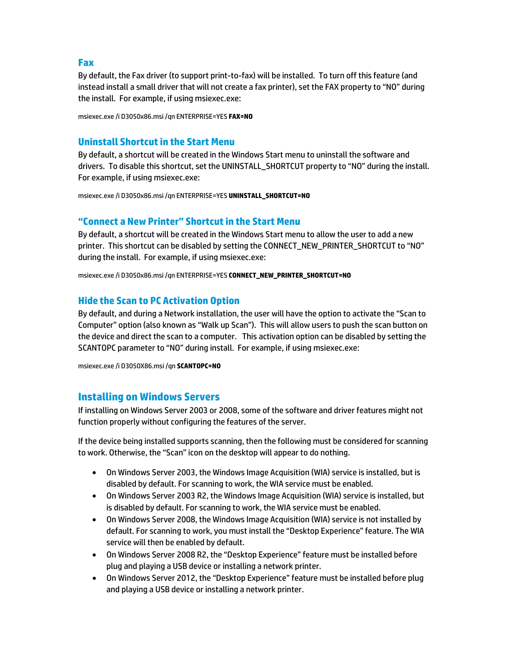#### **Fax**

By default, the Fax driver (to support print-to-fax) will be installed. To turn off this feature (and instead install a small driver that will not create a fax printer), set the FAX property to "NO" during the install. For example, if using msiexec.exe:

msiexec.exe /i D3050x86.msi /qn ENTERPRISE=YES **FAX=NO** 

# **Uninstall Shortcut in the Start Menu**

By default, a shortcut will be created in the Windows Start menu to uninstall the software and drivers. To disable this shortcut, set the UNINSTALL\_SHORTCUT property to "NO" during the install. For example, if using msiexec.exe:

msiexec.exe /i D3050x86.msi /qn ENTERPRISE=YES **UNINSTALL\_SHORTCUT=NO** 

# **"Connect a New Printer" Shortcut in the Start Menu**

By default, a shortcut will be created in the Windows Start menu to allow the user to add a new printer. This shortcut can be disabled by setting the CONNECT\_NEW\_PRINTER\_SHORTCUT to "NO" during the install. For example, if using msiexec.exe:

msiexec.exe /i D3050x86.msi /qn ENTERPRISE=YES **CONNECT\_NEW\_PRINTER\_SHORTCUT=NO**

# **Hide the Scan to PC Activation Option**

By default, and during a Network installation, the user will have the option to activate the "Scan to Computer" option (also known as "Walk up Scan"). This will allow users to push the scan button on the device and direct the scan to a computer. This activation option can be disabled by setting the SCANTOPC parameter to "NO" during install. For example, if using msiexec.exe:

msiexec.exe /i D3050X86.msi /qn **SCANTOPC=NO**

# **Installing on Windows Servers**

If installing on Windows Server 2003 or 2008, some of the software and driver features might not function properly without configuring the features of the server.

If the device being installed supports scanning, then the following must be considered for scanning to work. Otherwise, the "Scan" icon on the desktop will appear to do nothing.

- On Windows Server 2003, the Windows Image Acquisition (WIA) service is installed, but is disabled by default. For scanning to work, the WIA service must be enabled.
- On Windows Server 2003 R2, the Windows Image Acquisition (WIA) service is installed, but is disabled by default. For scanning to work, the WIA service must be enabled.
- On Windows Server 2008, the Windows Image Acquisition (WIA) service is not installed by default. For scanning to work, you must install the "Desktop Experience" feature. The WIA service will then be enabled by default.
- On Windows Server 2008 R2, the "Desktop Experience" feature must be installed before plug and playing a USB device or installing a network printer.
- On Windows Server 2012, the "Desktop Experience" feature must be installed before plug and playing a USB device or installing a network printer.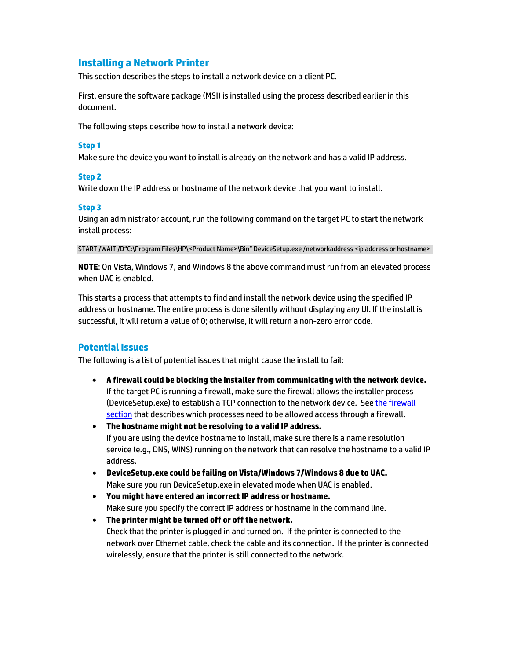# **Installing a Network Printer**

This section describes the steps to install a network device on a client PC.

First, ensure the software package (MSI) is installed using the process described earlier in this document.

The following steps describe how to install a network device:

#### **Step 1**

Make sure the device you want to install is already on the network and has a valid IP address.

#### **Step 2**

Write down the IP address or hostname of the network device that you want to install.

#### **Step 3**

Using an administrator account, run the following command on the target PC to start the network install process:

START /WAIT /D"C:\Program Files\HP\<Product Name>\Bin" DeviceSetup.exe /networkaddress <ip address or hostname>

**NOTE**: On Vista, Windows 7, and Windows 8 the above command must run from an elevated process when UAC is enabled.

This starts a process that attempts to find and install the network device using the specified IP address or hostname. The entire process is done silently without displaying any UI. If the install is successful, it will return a value of 0; otherwise, it will return a non-zero error code.

#### **Potential Issues**

The following is a list of potential issues that might cause the install to fail:

- **A firewall could be blocking the installer from communicating with the network device.**  If the target PC is running a firewall, make sure the firewall allows the installer process (DeviceSetup.exe) to establish a TCP connection to the network device. See the firewall section that describes which processes need to be allowed access through a firewall.
- **The hostname might not be resolving to a valid IP address.** If you are using the device hostname to install, make sure there is a name resolution service (e.g., DNS, WINS) running on the network that can resolve the hostname to a valid IP address.
- **DeviceSetup.exe could be failing on Vista/Windows 7/Windows 8 due to UAC.** Make sure you run DeviceSetup.exe in elevated mode when UAC is enabled.
- **You might have entered an incorrect IP address or hostname.** Make sure you specify the correct IP address or hostname in the command line.
- **The printer might be turned off or off the network.** Check that the printer is plugged in and turned on. If the printer is connected to the network over Ethernet cable, check the cable and its connection. If the printer is connected wirelessly, ensure that the printer is still connected to the network.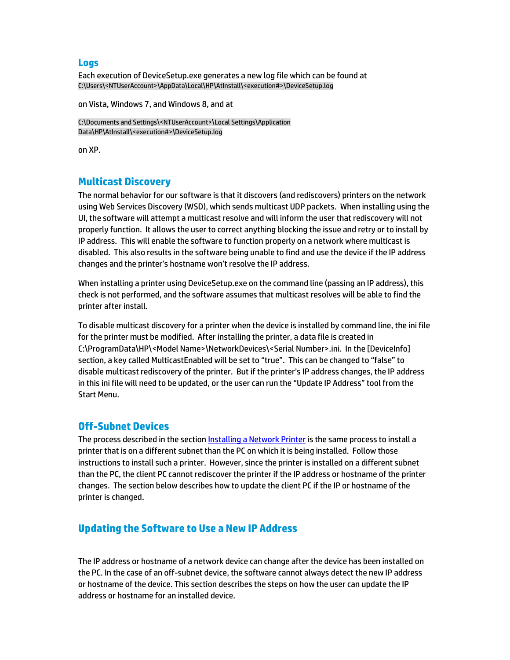#### **Logs**

Each execution of DeviceSetup.exe generates a new log file which can be found at C:\Users\<NTUserAccount>\AppData\Local\HP\AtInstall\<execution#>\DeviceSetup.log

on Vista, Windows 7, and Windows 8, and at

C:\Documents and Settings\<NTUserAccount>\Local Settings\Application Data\HP\AtInstall\<execution#>\DeviceSetup.log

on XP.

# **Multicast Discovery**

The normal behavior for our software is that it discovers (and rediscovers) printers on the network using Web Services Discovery (WSD), which sends multicast UDP packets. When installing using the UI, the software will attempt a multicast resolve and will inform the user that rediscovery will not properly function. It allows the user to correct anything blocking the issue and retry or to install by IP address. This will enable the software to function properly on a network where multicast is disabled. This also results in the software being unable to find and use the device if the IP address changes and the printer's hostname won't resolve the IP address.

When installing a printer using DeviceSetup.exe on the command line (passing an IP address), this check is not performed, and the software assumes that multicast resolves will be able to find the printer after install.

To disable multicast discovery for a printer when the device is installed by command line, the ini file for the printer must be modified. After installing the printer, a data file is created in C:\ProgramData\HP\<Model Name>\NetworkDevices\<Serial Number>.ini. In the [DeviceInfo] section, a key called MulticastEnabled will be set to "true". This can be changed to "false" to disable multicast rediscovery of the printer. But if the printer's IP address changes, the IP address in this ini file will need to be updated, or the user can run the "Update IP Address" tool from the Start Menu.

# **Off-Subnet Devices**

The process described in the section Installing a Network Printer is the same process to install a printer that is on a different subnet than the PC on which it is being installed. Follow those instructions to install such a printer. However, since the printer is installed on a different subnet than the PC, the client PC cannot rediscover the printer if the IP address or hostname of the printer changes. The section below describes how to update the client PC if the IP or hostname of the printer is changed.

# **Updating the Software to Use a New IP Address**

The IP address or hostname of a network device can change after the device has been installed on the PC. In the case of an off-subnet device, the software cannot always detect the new IP address or hostname of the device. This section describes the steps on how the user can update the IP address or hostname for an installed device.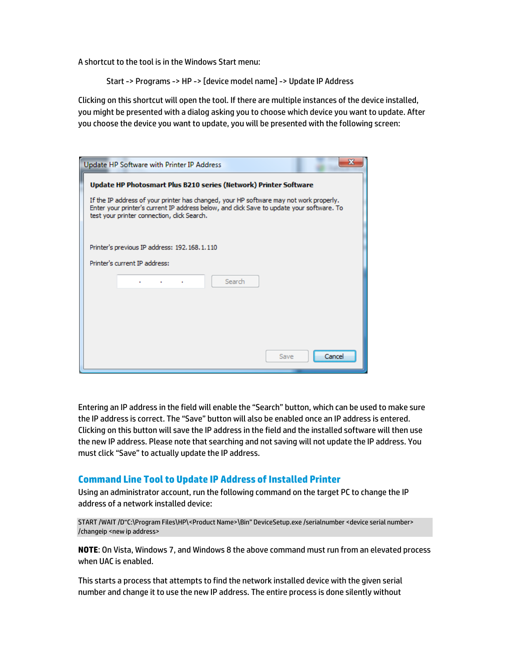A shortcut to the tool is in the Windows Start menu:

```
 Start -> Programs -> HP -> [device model name] -> Update IP Address
```
Clicking on this shortcut will open the tool. If there are multiple instances of the device installed, you might be presented with a dialog asking you to choose which device you want to update. After you choose the device you want to update, you will be presented with the following screen:

|                                                                                                                                                                                                                                   | Update HP Software with Printer IP Address   |  |                                                                  |      |        |
|-----------------------------------------------------------------------------------------------------------------------------------------------------------------------------------------------------------------------------------|----------------------------------------------|--|------------------------------------------------------------------|------|--------|
|                                                                                                                                                                                                                                   |                                              |  | Update HP Photosmart Plus B210 series (Network) Printer Software |      |        |
| If the IP address of your printer has changed, your HP software may not work properly.<br>Enter your printer's current IP address below, and click Save to update your software. To<br>test your printer connection, dick Search. |                                              |  |                                                                  |      |        |
|                                                                                                                                                                                                                                   | Printer's previous IP address: 192.168.1.110 |  |                                                                  |      |        |
|                                                                                                                                                                                                                                   | Printer's current IP address:                |  |                                                                  |      |        |
|                                                                                                                                                                                                                                   |                                              |  | Search                                                           |      |        |
|                                                                                                                                                                                                                                   |                                              |  |                                                                  |      |        |
|                                                                                                                                                                                                                                   |                                              |  |                                                                  |      |        |
|                                                                                                                                                                                                                                   |                                              |  |                                                                  |      |        |
|                                                                                                                                                                                                                                   |                                              |  |                                                                  | Save | Cancel |

Entering an IP address in the field will enable the "Search" button, which can be used to make sure the IP address is correct. The "Save" button will also be enabled once an IP address is entered. Clicking on this button will save the IP address in the field and the installed software will then use the new IP address. Please note that searching and not saving will not update the IP address. You must click "Save" to actually update the IP address.

# **Command Line Tool to Update IP Address of Installed Printer**

Using an administrator account, run the following command on the target PC to change the IP address of a network installed device:

START /WAIT /D"C:\Program Files\HP\<Product Name>\Bin" DeviceSetup.exe /serialnumber <device serial number> /changeip <new ip address>

**NOTE**: On Vista, Windows 7, and Windows 8 the above command must run from an elevated process when UAC is enabled.

This starts a process that attempts to find the network installed device with the given serial number and change it to use the new IP address. The entire process is done silently without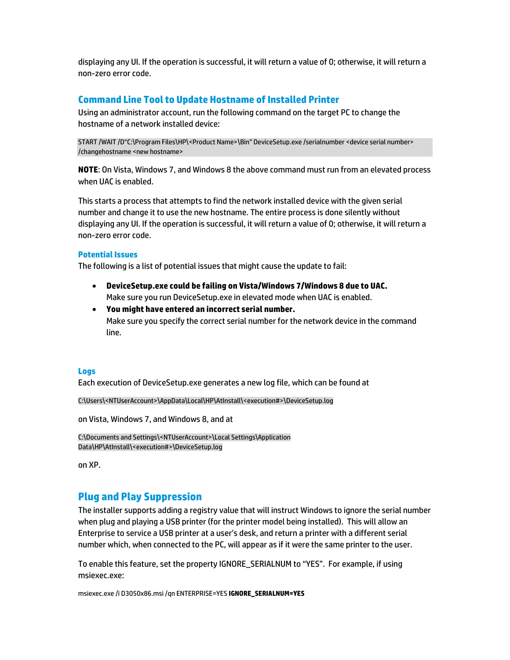displaying any UI. If the operation is successful, it will return a value of 0; otherwise, it will return a non-zero error code.

# **Command Line Tool to Update Hostname of Installed Printer**

Using an administrator account, run the following command on the target PC to change the hostname of a network installed device:

START /WAIT /D"C:\Program Files\HP\<Product Name>\Bin" DeviceSetup.exe /serialnumber <device serial number> /changehostname <new hostname>

**NOTE**: On Vista, Windows 7, and Windows 8 the above command must run from an elevated process when UAC is enabled.

This starts a process that attempts to find the network installed device with the given serial number and change it to use the new hostname. The entire process is done silently without displaying any UI. If the operation is successful, it will return a value of 0; otherwise, it will return a non-zero error code.

#### **Potential Issues**

The following is a list of potential issues that might cause the update to fail:

- **DeviceSetup.exe could be failing on Vista/Windows 7/Windows 8 due to UAC.** Make sure you run DeviceSetup.exe in elevated mode when UAC is enabled.
- **You might have entered an incorrect serial number.** Make sure you specify the correct serial number for the network device in the command line.

#### **Logs**

Each execution of DeviceSetup.exe generates a new log file, which can be found at

C:\Users\<NTUserAccount>\AppData\Local\HP\AtInstall\<execution#>\DeviceSetup.log

on Vista, Windows 7, and Windows 8, and at

C:\Documents and Settings\<NTUserAccount>\Local Settings\Application Data\HP\AtInstall\<execution#>\DeviceSetup.log

on XP.

# **Plug and Play Suppression**

The installer supports adding a registry value that will instruct Windows to ignore the serial number when plug and playing a USB printer (for the printer model being installed). This will allow an Enterprise to service a USB printer at a user's desk, and return a printer with a different serial number which, when connected to the PC, will appear as if it were the same printer to the user.

To enable this feature, set the property IGNORE\_SERIALNUM to "YES". For example, if using msiexec.exe:

msiexec.exe /i D3050x86.msi /qn ENTERPRISE=YES **IGNORE\_SERIALNUM=YES**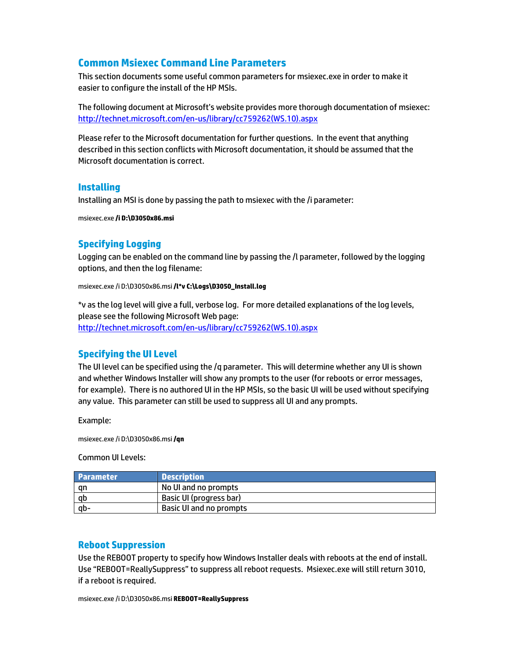# **Common Msiexec Command Line Parameters**

This section documents some useful common parameters for msiexec.exe in order to make it easier to configure the install of the HP MSIs.

The following document at Microsoft's website provides more thorough documentation of msiexec: http://technet.microsoft.com/en-us/library/cc759262(WS.10).aspx

Please refer to the Microsoft documentation for further questions. In the event that anything described in this section conflicts with Microsoft documentation, it should be assumed that the Microsoft documentation is correct.

#### **Installing**

Installing an MSI is done by passing the path to msiexec with the /i parameter:

msiexec.exe **/i D:\D3050x86.msi** 

# **Specifying Logging**

Logging can be enabled on the command line by passing the /l parameter, followed by the logging options, and then the log filename:

msiexec.exe /i D:\D3050x86.msi **/l\*v C:\Logs\D3050\_Install.log** 

\*v as the log level will give a full, verbose log. For more detailed explanations of the log levels, please see the following Microsoft Web page: http://technet.microsoft.com/en-us/library/cc759262(WS.10).aspx

# **Specifying the UI Level**

The UI level can be specified using the /q parameter. This will determine whether any UI is shown and whether Windows Installer will show any prompts to the user (for reboots or error messages, for example). There is no authored UI in the HP MSIs, so the basic UI will be used without specifying any value. This parameter can still be used to suppress all UI and any prompts.

Example:

msiexec.exe /i D:\D3050x86.msi **/qn**

Common UI Levels:

| <b>Parameter</b> | <b>Description</b>      |
|------------------|-------------------------|
| gn               | No UI and no prompts    |
| - qb             | Basic UI (progress bar) |
| qb-              | Basic UI and no prompts |

#### **Reboot Suppression**

Use the REBOOT property to specify how Windows Installer deals with reboots at the end of install. Use "REBOOT=ReallySuppress" to suppress all reboot requests. Msiexec.exe will still return 3010, if a reboot is required.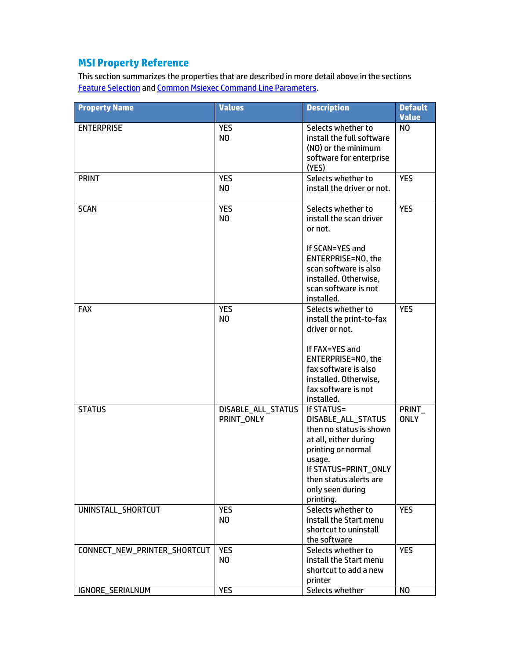# **MSI Property Reference**

This section summarizes the properties that are described in more detail above in the sections Feature Selection and Common Msiexec Command Line Parameters.

| <b>Property Name</b>         | <b>Values</b>      | <b>Description</b>                                 | <b>Default</b>                 |
|------------------------------|--------------------|----------------------------------------------------|--------------------------------|
| <b>ENTERPRISE</b>            | <b>YES</b>         | Selects whether to                                 | <b>Value</b><br>N <sub>0</sub> |
|                              | N <sub>O</sub>     | install the full software                          |                                |
|                              |                    | (NO) or the minimum                                |                                |
|                              |                    | software for enterprise                            |                                |
|                              |                    | (YES)                                              |                                |
| <b>PRINT</b>                 | <b>YES</b>         | Selects whether to                                 | <b>YES</b>                     |
|                              | NO                 | install the driver or not.                         |                                |
| <b>SCAN</b>                  | <b>YES</b>         | Selects whether to                                 | <b>YES</b>                     |
|                              | NO                 | install the scan driver                            |                                |
|                              |                    | or not.                                            |                                |
|                              |                    |                                                    |                                |
|                              |                    | If SCAN=YES and                                    |                                |
|                              |                    | <b>ENTERPRISE=NO, the</b><br>scan software is also |                                |
|                              |                    | installed. Otherwise,                              |                                |
|                              |                    | scan software is not                               |                                |
|                              |                    | installed.                                         |                                |
| <b>FAX</b>                   | <b>YES</b>         | Selects whether to                                 | <b>YES</b>                     |
|                              | N <sub>O</sub>     | install the print-to-fax                           |                                |
|                              |                    | driver or not.                                     |                                |
|                              |                    | If FAX=YES and                                     |                                |
|                              |                    | <b>ENTERPRISE=NO, the</b>                          |                                |
|                              |                    | fax software is also                               |                                |
|                              |                    | installed. Otherwise,                              |                                |
|                              |                    | fax software is not                                |                                |
|                              |                    | installed.                                         |                                |
| <b>STATUS</b>                | DISABLE_ALL_STATUS | <b>If STATUS=</b>                                  | PRINT_                         |
|                              | PRINT_ONLY         | DISABLE_ALL_STATUS                                 | <b>ONLY</b>                    |
|                              |                    | then no status is shown                            |                                |
|                              |                    | at all, either during                              |                                |
|                              |                    | printing or normal                                 |                                |
|                              |                    | usage.<br>If STATUS=PRINT_ONLY                     |                                |
|                              |                    | then status alerts are                             |                                |
|                              |                    | only seen during                                   |                                |
|                              |                    | printing.                                          |                                |
| UNINSTALL_SHORTCUT           | <b>YES</b>         | Selects whether to                                 | <b>YES</b>                     |
|                              | NO                 | install the Start menu                             |                                |
|                              |                    | shortcut to uninstall                              |                                |
|                              |                    | the software                                       |                                |
| CONNECT NEW PRINTER SHORTCUT | <b>YES</b>         | Selects whether to                                 | <b>YES</b>                     |
|                              | NO                 | install the Start menu                             |                                |
|                              |                    | shortcut to add a new<br>printer                   |                                |
| IGNORE_SERIALNUM             | <b>YES</b>         | Selects whether                                    | NO.                            |
|                              |                    |                                                    |                                |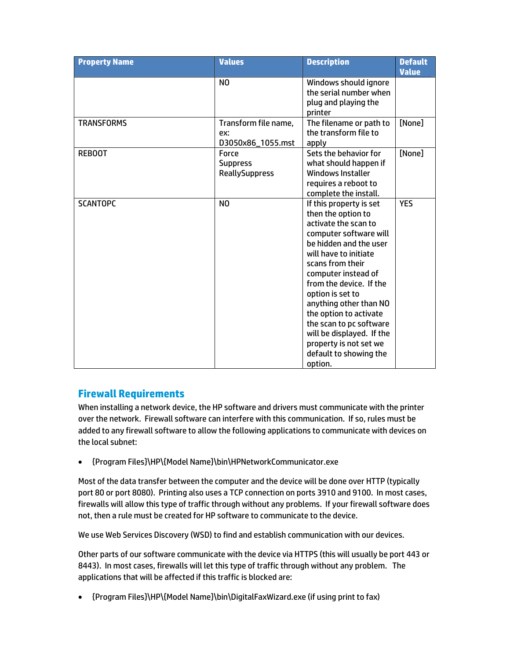| <b>Property Name</b> | <b>Values</b>                                     | <b>Description</b>                                                                                                                                                                                                                                                                                                                                                                                                      | <b>Default</b><br><b>Value</b> |
|----------------------|---------------------------------------------------|-------------------------------------------------------------------------------------------------------------------------------------------------------------------------------------------------------------------------------------------------------------------------------------------------------------------------------------------------------------------------------------------------------------------------|--------------------------------|
|                      | N <sub>0</sub>                                    | Windows should ignore<br>the serial number when<br>plug and playing the<br>printer                                                                                                                                                                                                                                                                                                                                      |                                |
| <b>TRANSFORMS</b>    | Transform file name,<br>ex:<br>D3050x86_1055.mst  | The filename or path to<br>the transform file to<br>apply                                                                                                                                                                                                                                                                                                                                                               | [None]                         |
| <b>REBOOT</b>        | Force<br><b>Suppress</b><br><b>ReallySuppress</b> | Sets the behavior for<br>what should happen if<br>Windows Installer<br>requires a reboot to<br>complete the install.                                                                                                                                                                                                                                                                                                    | [None]                         |
| <b>SCANTOPC</b>      | N <sub>0</sub>                                    | If this property is set<br>then the option to<br>activate the scan to<br>computer software will<br>be hidden and the user<br>will have to initiate<br>scans from their<br>computer instead of<br>from the device. If the<br>option is set to<br>anything other than NO<br>the option to activate<br>the scan to pc software<br>will be displayed. If the<br>property is not set we<br>default to showing the<br>option. | <b>YES</b>                     |

# **Firewall Requirements**

When installing a network device, the HP software and drivers must communicate with the printer over the network. Firewall software can interfere with this communication. If so, rules must be added to any firewall software to allow the following applications to communicate with devices on the local subnet:

• {Program Files}\HP\{Model Name}\bin\HPNetworkCommunicator.exe

Most of the data transfer between the computer and the device will be done over HTTP (typically port 80 or port 8080). Printing also uses a TCP connection on ports 3910 and 9100. In most cases, firewalls will allow this type of traffic through without any problems. If your firewall software does not, then a rule must be created for HP software to communicate to the device.

We use Web Services Discovery (WSD) to find and establish communication with our devices.

Other parts of our software communicate with the device via HTTPS (this will usually be port 443 or 8443). In most cases, firewalls will let this type of traffic through without any problem. The applications that will be affected if this traffic is blocked are:

• {Program Files}\HP\{Model Name}\bin\DigitalFaxWizard.exe (if using print to fax)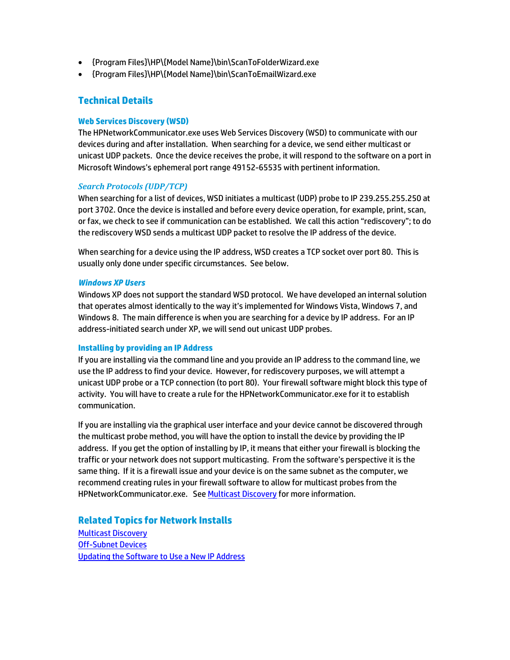- {Program Files}\HP\{Model Name}\bin\ScanToFolderWizard.exe
- {Program Files}\HP\{Model Name}\bin\ScanToEmailWizard.exe

#### **Technical Details**

#### **Web Services Discovery (WSD)**

The HPNetworkCommunicator.exe uses Web Services Discovery (WSD) to communicate with our devices during and after installation. When searching for a device, we send either multicast or unicast UDP packets. Once the device receives the probe, it will respond to the software on a port in Microsoft Windows's ephemeral port range 49152-65535 with pertinent information.

#### *Search Protocols (UDP/TCP)*

When searching for a list of devices, WSD initiates a multicast (UDP) probe to IP 239.255.255.250 at port 3702. Once the device is installed and before every device operation, for example, print, scan, or fax, we check to see if communication can be established. We call this action "rediscovery"; to do the rediscovery WSD sends a multicast UDP packet to resolve the IP address of the device.

When searching for a device using the IP address, WSD creates a TCP socket over port 80. This is usually only done under specific circumstances. See below.

#### *Windows XP Users*

Windows XP does not support the standard WSD protocol. We have developed an internal solution that operates almost identically to the way it's implemented for Windows Vista, Windows 7, and Windows 8. The main difference is when you are searching for a device by IP address. For an IP address-initiated search under XP, we will send out unicast UDP probes.

#### **Installing by providing an IP Address**

If you are installing via the command line and you provide an IP address to the command line, we use the IP address to find your device. However, for rediscovery purposes, we will attempt a unicast UDP probe or a TCP connection (to port 80). Your firewall software might block this type of activity. You will have to create a rule for the HPNetworkCommunicator.exe for it to establish communication.

If you are installing via the graphical user interface and your device cannot be discovered through the multicast probe method, you will have the option to install the device by providing the IP address. If you get the option of installing by IP, it means that either your firewall is blocking the traffic or your network does not support multicasting. From the software's perspective it is the same thing. If it is a firewall issue and your device is on the same subnet as the computer, we recommend creating rules in your firewall software to allow for multicast probes from the HPNetworkCommunicator.exe. See Multicast Discovery for more information.

**Related Topics for Network Installs**  Multicast Discovery Off-Subnet Devices Updating the Software to Use a New IP Address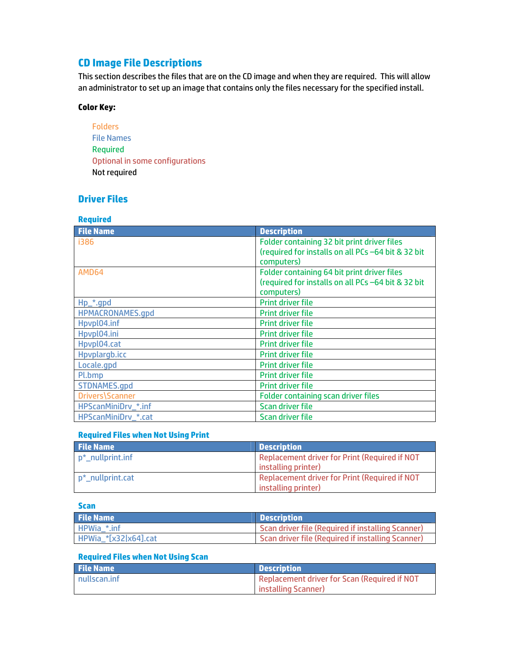# **CD Image File Descriptions**

This section describes the files that are on the CD image and when they are required. This will allow an administrator to set up an image that contains only the files necessary for the specified install.

# **Color Key:**

Folders File Names Required Optional in some configurations Not required

# **Driver Files**

| <b>Required</b>        |                                                   |
|------------------------|---------------------------------------------------|
| <b>File Name</b>       | <b>Description</b>                                |
| i386                   | Folder containing 32 bit print driver files       |
|                        | (required for installs on all PCs-64 bit & 32 bit |
|                        | computers)                                        |
| AMD <sub>64</sub>      | Folder containing 64 bit print driver files       |
|                        | (required for installs on all PCs-64 bit & 32 bit |
|                        | computers)                                        |
| $Hp$ <sub>-s</sub> gpd | <b>Print driver file</b>                          |
| HPMACRONAMES.gpd       | <b>Print driver file</b>                          |
| Hpvpl04.inf            | <b>Print driver file</b>                          |
| Hpvpl04.ini            | <b>Print driver file</b>                          |
| Hpvpl04.cat            | <b>Print driver file</b>                          |
| Hpvplargb.icc          | <b>Print driver file</b>                          |
| Locale.gpd             | <b>Print driver file</b>                          |
| Pl.bmp                 | <b>Print driver file</b>                          |
| STDNAMES.qpd           | <b>Print driver file</b>                          |
| Drivers\Scanner        | <b>Folder containing scan driver files</b>        |
| HPScanMiniDrv_*.inf    | <b>Scan driver file</b>                           |
| HPScanMiniDrv *.cat    | <b>Scan driver file</b>                           |

#### **Required Files when Not Using Print**

| <b>File Name</b>     | <b>Description</b>                                                   |
|----------------------|----------------------------------------------------------------------|
| $p^*$ _nullprint.inf | Replacement driver for Print (Required if NOT<br>installing printer) |
| $p^*$ nullprint.cat  | Replacement driver for Print (Required if NOT<br>installing printer) |

#### **Scan**

| <b>File Name</b>     | <b>Description</b>                                |
|----------------------|---------------------------------------------------|
| HPWia *.inf          | Scan driver file (Required if installing Scanner) |
| HPWia_*[x32 x64].cat | Scan driver file (Required if installing Scanner) |

#### **Required Files when Not Using Scan**

| <b>File Name</b> | <b>Description</b>                           |
|------------------|----------------------------------------------|
| nullscan.inf     | Replacement driver for Scan (Required if NOT |
|                  | installing Scanner)                          |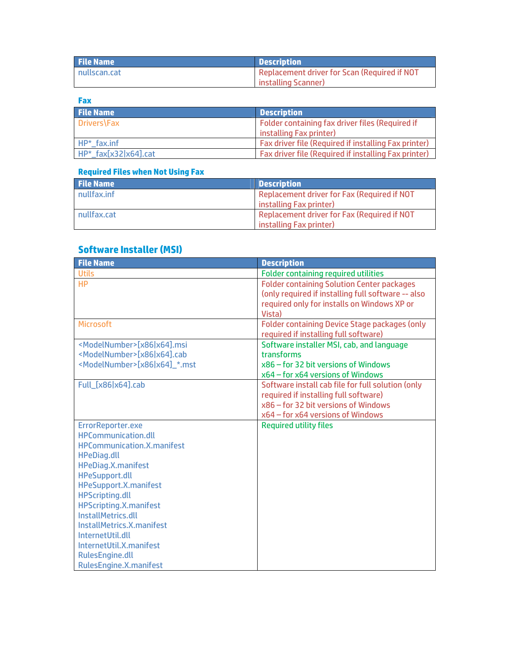| <b>File Name</b> | <b>Description</b>                           |
|------------------|----------------------------------------------|
| nullscan.cat     | Replacement driver for Scan (Required if NOT |
|                  | installing Scanner)                          |

**Fax** 

| <b>File Name</b>         | <b>Description</b>                                          |
|--------------------------|-------------------------------------------------------------|
| Drivers\Fax              | Folder containing fax driver files (Required if             |
|                          | installing Fax printer)                                     |
| $HP*$ fax.inf            | <b>Fax driver file (Required if installing Fax printer)</b> |
| $HP^*$ _fax[x32 x64].cat | <b>Fax driver file (Required if installing Fax printer)</b> |

# **Required Files when Not Using Fax**

| <b>File Name</b> | <b>Description</b>                                                     |
|------------------|------------------------------------------------------------------------|
| nullfax.inf      | Replacement driver for Fax (Required if NOT<br>installing Fax printer) |
| nullfax.cat      | Replacement driver for Fax (Required if NOT<br>installing Fax printer) |

# **Software Installer (MSI)**

| <b>File Name</b>                                                                                                                                                                                                                                                                                                                                                                                                  | <b>Description</b>                                                                                                                                                      |
|-------------------------------------------------------------------------------------------------------------------------------------------------------------------------------------------------------------------------------------------------------------------------------------------------------------------------------------------------------------------------------------------------------------------|-------------------------------------------------------------------------------------------------------------------------------------------------------------------------|
| <b>Utils</b>                                                                                                                                                                                                                                                                                                                                                                                                      | <b>Folder containing required utilities</b>                                                                                                                             |
| <b>HP</b>                                                                                                                                                                                                                                                                                                                                                                                                         | <b>Folder containing Solution Center packages</b><br>(only required if installing full software -- also<br>required only for installs on Windows XP or<br>Vista)        |
| <b>Microsoft</b>                                                                                                                                                                                                                                                                                                                                                                                                  | <b>Folder containing Device Stage packages (only</b><br>required if installing full software)                                                                           |
| <modelnumber>[x86 x64].msi<br/><modelnumber>[x86 x64].cab<br/><modelnumber>[x86 x64]_*.mst</modelnumber></modelnumber></modelnumber>                                                                                                                                                                                                                                                                              | Software installer MSI, cab, and language<br>transforms<br>x86 - for 32 bit versions of Windows<br>x64 – for x64 versions of Windows                                    |
| Full [x86 x64].cab                                                                                                                                                                                                                                                                                                                                                                                                | Software install cab file for full solution (only<br>required if installing full software)<br>x86 - for 32 bit versions of Windows<br>x64 - for x64 versions of Windows |
| ErrorReporter.exe<br><b>HPCommunication.dll</b><br><b>HPCommunication.X.manifest</b><br><b>HPeDiag.dll</b><br><b>HPeDiag.X.manifest</b><br><b>HPeSupport.dll</b><br><b>HPeSupport.X.manifest</b><br><b>HPScripting.dll</b><br><b>HPScripting.X.manifest</b><br>InstallMetrics.dll<br>InstallMetrics.X.manifest<br>InternetUtil.dll<br>InternetUtil.X.manifest<br><b>RulesEngine.dll</b><br>RulesEngine.X.manifest | <b>Required utility files</b>                                                                                                                                           |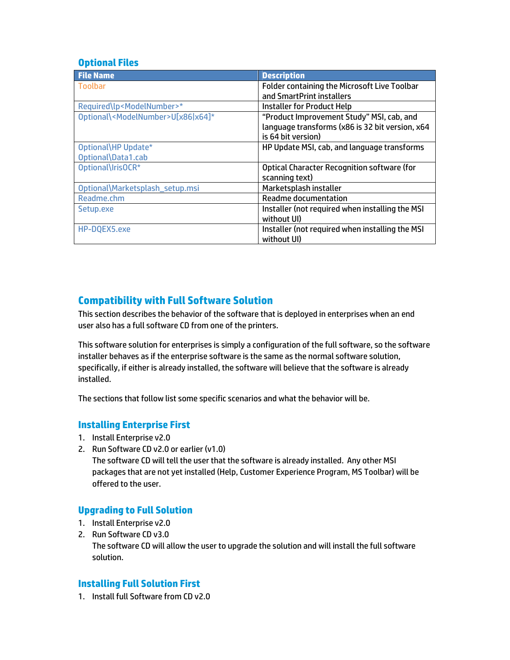# **Optional Files**

| <b>File Name</b>                                 | <b>Description</b>                                 |
|--------------------------------------------------|----------------------------------------------------|
| <b>Toolbar</b>                                   | Folder containing the Microsoft Live Toolbar       |
|                                                  | and SmartPrint installers                          |
| Required\lp <modelnumber>*</modelnumber>         | Installer for Product Help                         |
| Optional\ <modelnumber>U[x86 x64]*</modelnumber> | "Product Improvement Study" MSI, cab, and          |
|                                                  | language transforms (x86 is 32 bit version, x64    |
|                                                  | is 64 bit version)                                 |
| Optional\HP Update*                              | HP Update MSI, cab, and language transforms        |
| Optional\Data1.cab                               |                                                    |
| Optional\IrisOCR*                                | <b>Optical Character Recognition software (for</b> |
|                                                  | scanning text)                                     |
| Optional\Marketsplash_setup.msi                  | Marketsplash installer                             |
| Readme.chm                                       | <b>Readme documentation</b>                        |
| Setup.exe                                        | Installer (not required when installing the MSI    |
|                                                  | without UI)                                        |
| HP-DQEX5.exe                                     | Installer (not required when installing the MSI    |
|                                                  | without UI)                                        |

# **Compatibility with Full Software Solution**

This section describes the behavior of the software that is deployed in enterprises when an end user also has a full software CD from one of the printers.

This software solution for enterprises is simply a configuration of the full software, so the software installer behaves as if the enterprise software is the same as the normal software solution, specifically, if either is already installed, the software will believe that the software is already installed.

The sections that follow list some specific scenarios and what the behavior will be.

# **Installing Enterprise First**

- 1. Install Enterprise v2.0
- 2. Run Software CD v2.0 or earlier (v1.0)

The software CD will tell the user that the software is already installed. Any other MSI packages that are not yet installed (Help, Customer Experience Program, MS Toolbar) will be offered to the user.

# **Upgrading to Full Solution**

- 1. Install Enterprise v2.0
- 2. Run Software CD v3.0

The software CD will allow the user to upgrade the solution and will install the full software solution.

# **Installing Full Solution First**

1. Install full Software from CD v2.0